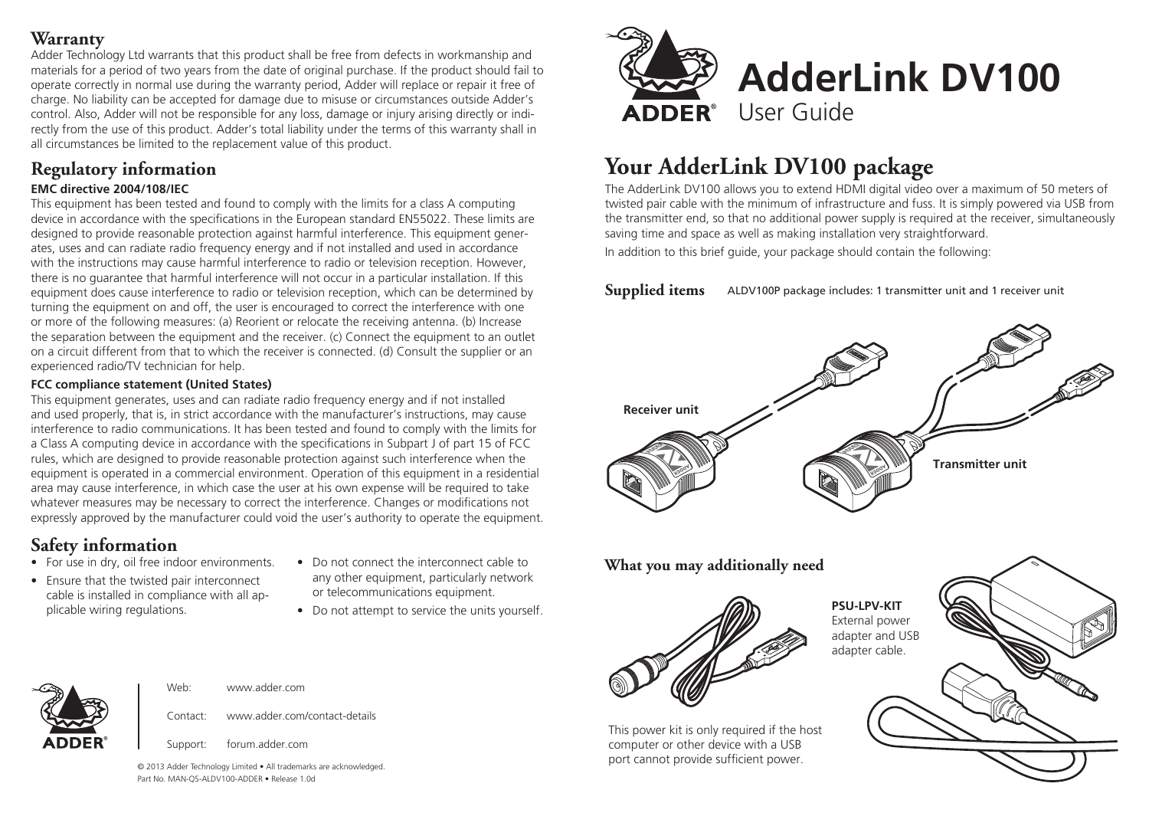#### **Warranty**

Adder Technology Ltd warrants that this product shall be free from defects in workmanship and materials for a period of two years from the date of original purchase. If the product should fail to operate correctly in normal use during the warranty period, Adder will replace or repair it free of charge. No liability can be accepted for damage due to misuse or circumstances outside Adder's control. Also, Adder will not be responsible for any loss, damage or injury arising directly or indirectly from the use of this product. Adder's total liability under the terms of this warranty shall in all circumstances be limited to the replacement value of this product.

## **Regulatory information**

#### **EMC directive 2004/108/IEC**

This equipment has been tested and found to comply with the limits for a class A computing device in accordance with the specifications in the European standard EN55022. These limits are designed to provide reasonable protection against harmful interference. This equipment generates, uses and can radiate radio frequency energy and if not installed and used in accordance with the instructions may cause harmful interference to radio or television reception. However, there is no guarantee that harmful interference will not occur in a particular installation. If this equipment does cause interference to radio or television reception, which can be determined by turning the equipment on and off, the user is encouraged to correct the interference with one or more of the following measures: (a) Reorient or relocate the receiving antenna. (b) Increase the separation between the equipment and the receiver. (c) Connect the equipment to an outlet on a circuit different from that to which the receiver is connected. (d) Consult the supplier or an experienced radio/TV technician for help.

#### **FCC compliance statement (United States)**

This equipment generates, uses and can radiate radio frequency energy and if not installed and used properly, that is, in strict accordance with the manufacturer's instructions, may cause interference to radio communications. It has been tested and found to comply with the limits for a Class A computing device in accordance with the specifications in Subpart J of part 15 of FCC rules, which are designed to provide reasonable protection against such interference when the equipment is operated in a commercial environment. Operation of this equipment in a residential area may cause interference, in which case the user at his own expense will be required to take whatever measures may be necessary to correct the interference. Changes or modifications not expressly approved by the manufacturer could void the user's authority to operate the equipment.

## **Safety information**

- For use in dry, oil free indoor environments.
- Ensure that the twisted pair interconnect cable is installed in compliance with all applicable wiring regulations.
- Do not connect the interconnect cable to any other equipment, particularly network or telecommunications equipment.
- Do not attempt to service the units yourself.



# **Your AdderLink DV100 package**

The AdderLink DV100 allows you to extend HDMI digital video over a maximum of 50 meters of twisted pair cable with the minimum of infrastructure and fuss. It is simply powered via USB from the transmitter end, so that no additional power supply is required at the receiver, simultaneously saving time and space as well as making installation very straightforward.

In addition to this brief guide, your package should contain the following:

**Supplied items** ALDV100P package includes: 1 transmitter unit and 1 receiver unit



#### **What you may additionally need**



This power kit is only required if the host

**PSU-LPV-KIT** External power adapter and USB adapter cable.





Support: forum.adder.com

Web: www.adder.com

© 2013 Adder Technology Limited • All trademarks are acknowledged. Part No. MAN-QS-ALDV100-ADDER • Release 1.0d

Contact: www.adder.com/contact-details

computer or other device with a USB port cannot provide sufficient power.